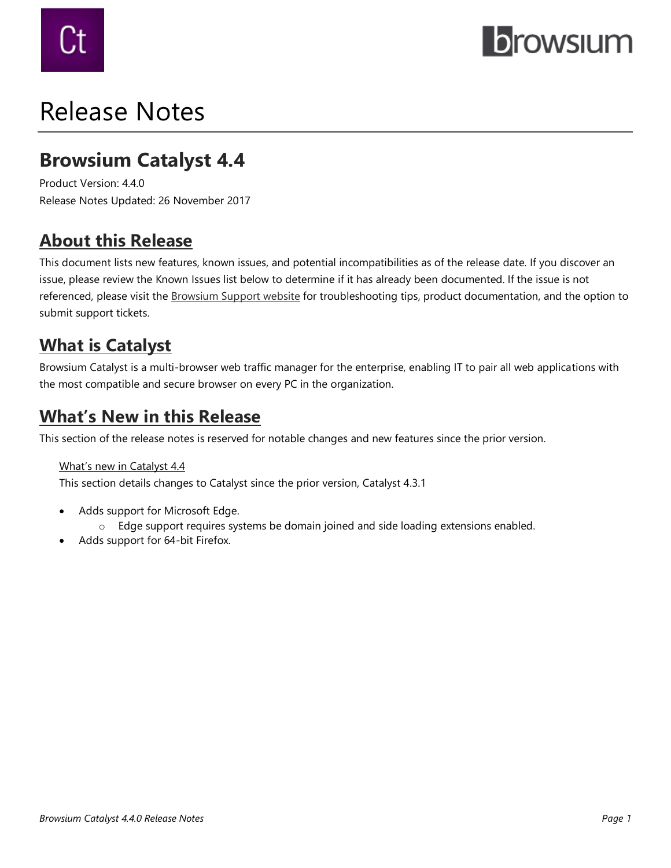

# Release Notes

# **Browsium Catalyst 4.4**

Product Version: 4.4.0 Release Notes Updated: 26 November 2017

# **About this Release**

This document lists new features, known issues, and potential incompatibilities as of the release date. If you discover an issue, please review the Known Issues list below to determine if it has already been documented. If the issue is not referenced, please visit the [Browsium Support website](https://www.browsium.com/support/) for troubleshooting tips, product documentation, and the option to submit support tickets.

# **What is Catalyst**

Browsium Catalyst is a multi-browser web traffic manager for the enterprise, enabling IT to pair all web applications with the most compatible and secure browser on every PC in the organization.

### **What's New in this Release**

This section of the release notes is reserved for notable changes and new features since the prior version.

#### What's new in Catalyst 4.4

This section details changes to Catalyst since the prior version, Catalyst 4.3.1

- Adds support for Microsoft Edge.
	- o Edge support requires systems be domain joined and side loading extensions enabled.
- Adds support for 64-bit Firefox.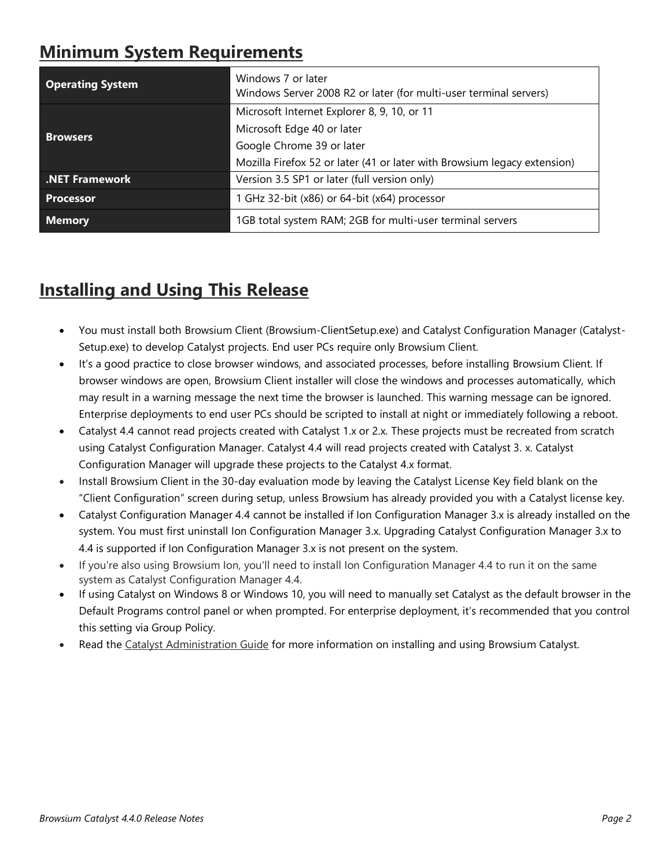# **Minimum System Requirements**

| <b>Operating System</b> | Windows 7 or later<br>Windows Server 2008 R2 or later (for multi-user terminal servers) |
|-------------------------|-----------------------------------------------------------------------------------------|
| <b>Browsers</b>         | Microsoft Internet Explorer 8, 9, 10, or 11                                             |
|                         | Microsoft Edge 40 or later                                                              |
|                         | Google Chrome 39 or later                                                               |
|                         | Mozilla Firefox 52 or later (41 or later with Browsium legacy extension)                |
| .NET Framework          | Version 3.5 SP1 or later (full version only)                                            |
| Processor               | 1 GHz 32-bit (x86) or 64-bit (x64) processor                                            |
| <b>Memory</b>           | 1GB total system RAM; 2GB for multi-user terminal servers                               |

# **Installing and Using This Release**

- You must install both Browsium Client (Browsium-ClientSetup.exe) and Catalyst Configuration Manager (Catalyst-Setup.exe) to develop Catalyst projects. End user PCs require only Browsium Client.
- It's a good practice to close browser windows, and associated processes, before installing Browsium Client. If browser windows are open, Browsium Client installer will close the windows and processes automatically, which may result in a warning message the next time the browser is launched. This warning message can be ignored. Enterprise deployments to end user PCs should be scripted to install at night or immediately following a reboot.
- Catalyst 4.4 cannot read projects created with Catalyst 1.x or 2.x. These projects must be recreated from scratch using Catalyst Configuration Manager. Catalyst 4.4 will read projects created with Catalyst 3. x. Catalyst Configuration Manager will upgrade these projects to the Catalyst 4.x format.
- Install Browsium Client in the 30-day evaluation mode by leaving the Catalyst License Key field blank on the "Client Configuration" screen during setup, unless Browsium has already provided you with a Catalyst license key.
- Catalyst Configuration Manager 4.4 cannot be installed if Ion Configuration Manager 3.x is already installed on the system. You must first uninstall Ion Configuration Manager 3.x. Upgrading Catalyst Configuration Manager 3.x to 4.4 is supported if Ion Configuration Manager 3.x is not present on the system.
- If you're also using Browsium Ion, you'll need to install Ion Configuration Manager 4.4 to run it on the same system as Catalyst Configuration Manager 4.4.
- If using Catalyst on Windows 8 or Windows 10, you will need to manually set Catalyst as the default browser in the Default Programs control panel or when prompted. For enterprise deployment, it's recommended that you control this setting via Group Policy.
- Read the Catalyst [Administration Guide](http://docs.browsium.com/guide/?v=4.4.0&p=Catalyst) for more information on installing and using Browsium Catalyst.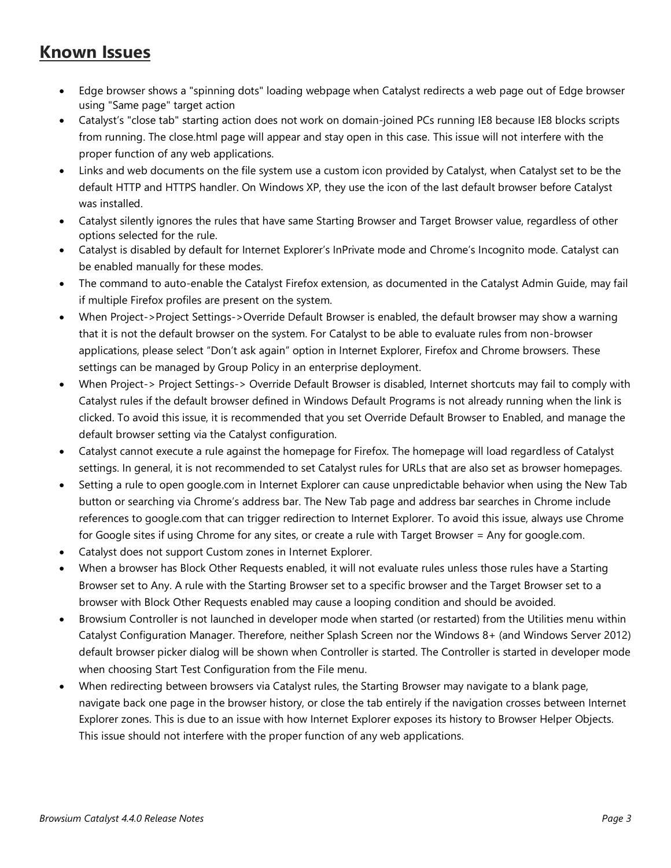### **Known Issues**

- Edge browser shows a "spinning dots" loading webpage when Catalyst redirects a web page out of Edge browser using "Same page" target action
- Catalyst's "close tab" starting action does not work on domain-joined PCs running IE8 because IE8 blocks scripts from running. The close.html page will appear and stay open in this case. This issue will not interfere with the proper function of any web applications.
- Links and web documents on the file system use a custom icon provided by Catalyst, when Catalyst set to be the default HTTP and HTTPS handler. On Windows XP, they use the icon of the last default browser before Catalyst was installed.
- Catalyst silently ignores the rules that have same Starting Browser and Target Browser value, regardless of other options selected for the rule.
- Catalyst is disabled by default for Internet Explorer's InPrivate mode and Chrome's Incognito mode. Catalyst can be enabled manually for these modes.
- The command to auto-enable the Catalyst Firefox extension, as documented in the Catalyst Admin Guide, may fail if multiple Firefox profiles are present on the system.
- When Project->Project Settings->Override Default Browser is enabled, the default browser may show a warning that it is not the default browser on the system. For Catalyst to be able to evaluate rules from non-browser applications, please select "Don't ask again" option in Internet Explorer, Firefox and Chrome browsers. These settings can be managed by Group Policy in an enterprise deployment.
- When Project-> Project Settings-> Override Default Browser is disabled, Internet shortcuts may fail to comply with Catalyst rules if the default browser defined in Windows Default Programs is not already running when the link is clicked. To avoid this issue, it is recommended that you set Override Default Browser to Enabled, and manage the default browser setting via the Catalyst configuration.
- Catalyst cannot execute a rule against the homepage for Firefox. The homepage will load regardless of Catalyst settings. In general, it is not recommended to set Catalyst rules for URLs that are also set as browser homepages.
- Setting a rule to open google.com in Internet Explorer can cause unpredictable behavior when using the New Tab button or searching via Chrome's address bar. The New Tab page and address bar searches in Chrome include references to google.com that can trigger redirection to Internet Explorer. To avoid this issue, always use Chrome for Google sites if using Chrome for any sites, or create a rule with Target Browser = Any for google.com.
- Catalyst does not support Custom zones in Internet Explorer.
- When a browser has Block Other Requests enabled, it will not evaluate rules unless those rules have a Starting Browser set to Any. A rule with the Starting Browser set to a specific browser and the Target Browser set to a browser with Block Other Requests enabled may cause a looping condition and should be avoided.
- Browsium Controller is not launched in developer mode when started (or restarted) from the Utilities menu within Catalyst Configuration Manager. Therefore, neither Splash Screen nor the Windows 8+ (and Windows Server 2012) default browser picker dialog will be shown when Controller is started. The Controller is started in developer mode when choosing Start Test Configuration from the File menu.
- When redirecting between browsers via Catalyst rules, the Starting Browser may navigate to a blank page, navigate back one page in the browser history, or close the tab entirely if the navigation crosses between Internet Explorer zones. This is due to an issue with how Internet Explorer exposes its history to Browser Helper Objects. This issue should not interfere with the proper function of any web applications.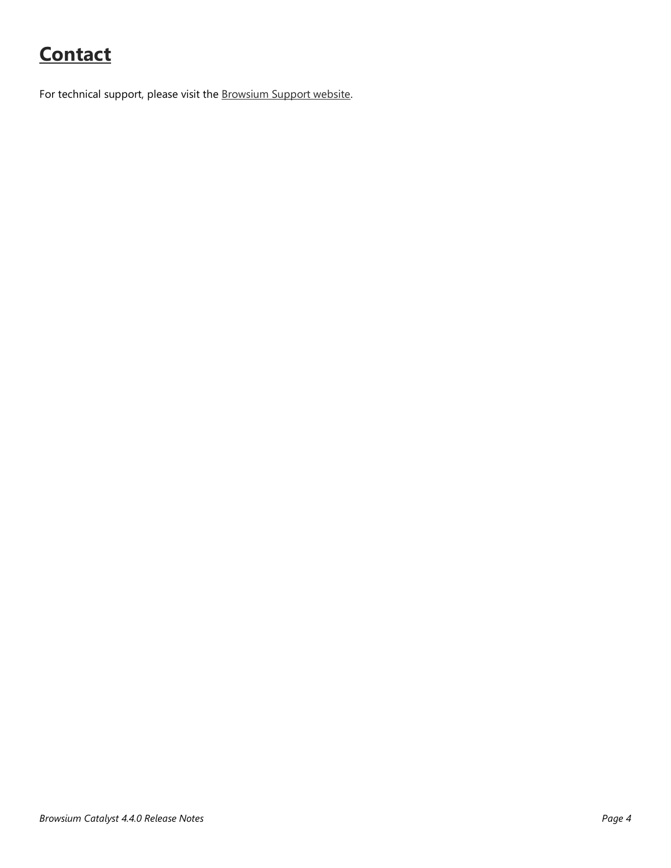# **Contact**

For technical support, please visit the [Browsium Support website.](https://www.browsium.com/support/)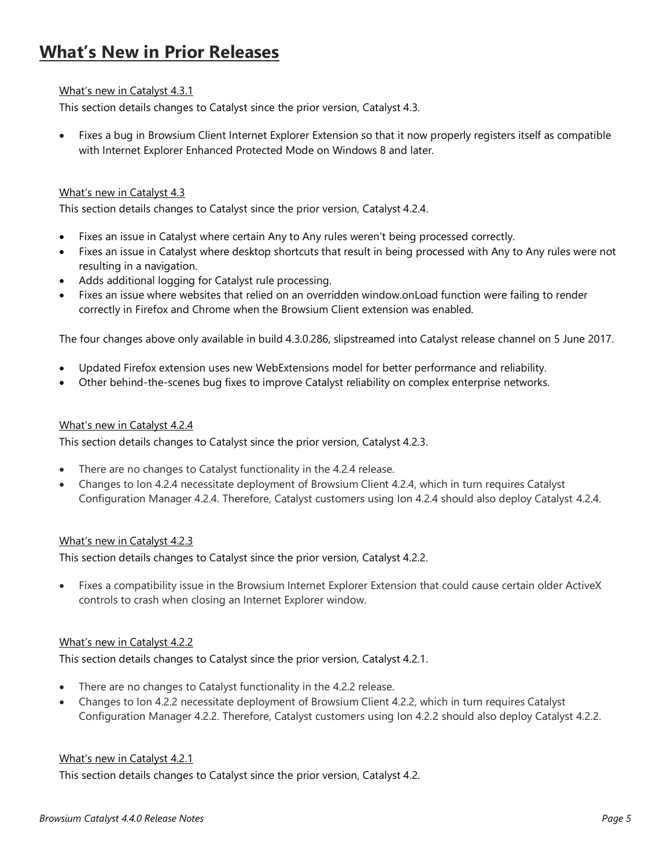# **What's New in Prior Releases**

#### What's new in Catalyst 4.3.1

This section details changes to Catalyst since the prior version, Catalyst 4.3.

• Fixes a bug in Browsium Client Internet Explorer Extension so that it now properly registers itself as compatible with Internet Explorer Enhanced Protected Mode on Windows 8 and later.

#### What's new in Catalyst 4.3

This section details changes to Catalyst since the prior version, Catalyst 4.2.4.

- Fixes an issue in Catalyst where certain Any to Any rules weren't being processed correctly.
- Fixes an issue in Catalyst where desktop shortcuts that result in being processed with Any to Any rules were not resulting in a navigation.
- Adds additional logging for Catalyst rule processing.
- Fixes an issue where websites that relied on an overridden window.onLoad function were failing to render correctly in Firefox and Chrome when the Browsium Client extension was enabled.

The four changes above only available in build 4.3.0.286, slipstreamed into Catalyst release channel on 5 June 2017.

- Updated Firefox extension uses new WebExtensions model for better performance and reliability.
- Other behind-the-scenes bug fixes to improve Catalyst reliability on complex enterprise networks.

#### What's new in Catalyst 4.2.4

This section details changes to Catalyst since the prior version, Catalyst 4.2.3.

- There are no changes to Catalyst functionality in the 4.2.4 release.
- Changes to Ion 4.2.4 necessitate deployment of Browsium Client 4.2.4, which in turn requires Catalyst Configuration Manager 4.2.4. Therefore, Catalyst customers using Ion 4.2.4 should also deploy Catalyst 4.2.4.

#### What's new in Catalyst 4.2.3

This section details changes to Catalyst since the prior version, Catalyst 4.2.2.

• Fixes a compatibility issue in the Browsium Internet Explorer Extension that could cause certain older ActiveX controls to crash when closing an Internet Explorer window.

#### What's new in Catalyst 4.2.2

This section details changes to Catalyst since the prior version, Catalyst 4.2.1.

- There are no changes to Catalyst functionality in the 4.2.2 release.
- Changes to Ion 4.2.2 necessitate deployment of Browsium Client 4.2.2, which in turn requires Catalyst Configuration Manager 4.2.2. Therefore, Catalyst customers using Ion 4.2.2 should also deploy Catalyst 4.2.2.

#### What's new in Catalyst 4.2.1

This section details changes to Catalyst since the prior version, Catalyst 4.2.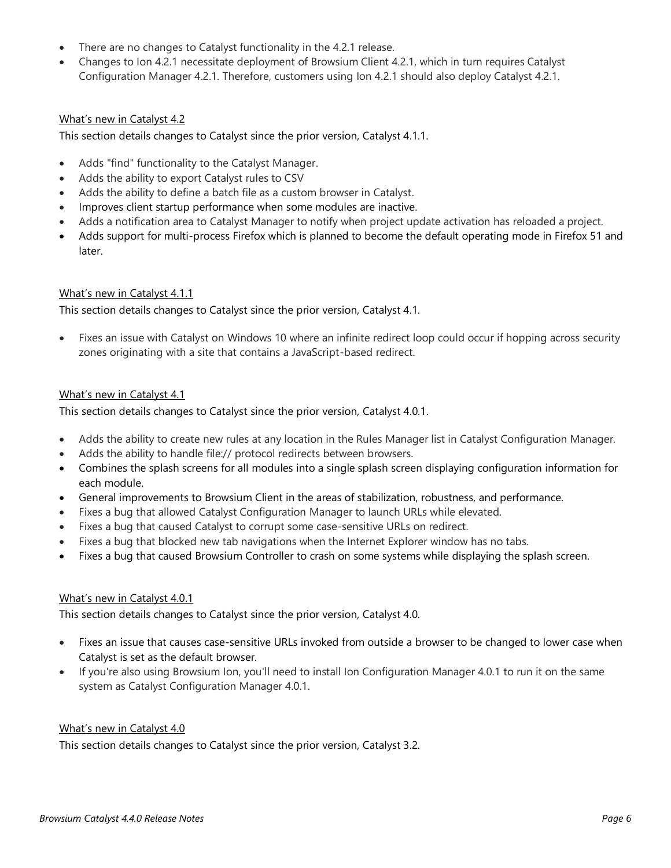- There are no changes to Catalyst functionality in the 4.2.1 release.
- Changes to Ion 4.2.1 necessitate deployment of Browsium Client 4.2.1, which in turn requires Catalyst Configuration Manager 4.2.1. Therefore, customers using Ion 4.2.1 should also deploy Catalyst 4.2.1.

#### What's new in Catalyst 4.2

This section details changes to Catalyst since the prior version, Catalyst 4.1.1.

- Adds "find" functionality to the Catalyst Manager.
- Adds the ability to export Catalyst rules to CSV
- Adds the ability to define a batch file as a custom browser in Catalyst.
- Improves client startup performance when some modules are inactive.
- Adds a notification area to Catalyst Manager to notify when project update activation has reloaded a project.
- Adds support for multi-process Firefox which is planned to become the default operating mode in Firefox 51 and later.

#### What's new in Catalyst 4.1.1

This section details changes to Catalyst since the prior version, Catalyst 4.1.

• Fixes an issue with Catalyst on Windows 10 where an infinite redirect loop could occur if hopping across security zones originating with a site that contains a JavaScript-based redirect.

#### What's new in Catalyst 4.1

This section details changes to Catalyst since the prior version, Catalyst 4.0.1.

- Adds the ability to create new rules at any location in the Rules Manager list in Catalyst Configuration Manager.
- Adds the ability to handle file:// protocol redirects between browsers.
- Combines the splash screens for all modules into a single splash screen displaying configuration information for each module.
- General improvements to Browsium Client in the areas of stabilization, robustness, and performance.
- Fixes a bug that allowed Catalyst Configuration Manager to launch URLs while elevated.
- Fixes a bug that caused Catalyst to corrupt some case-sensitive URLs on redirect.
- Fixes a bug that blocked new tab navigations when the Internet Explorer window has no tabs.
- Fixes a bug that caused Browsium Controller to crash on some systems while displaying the splash screen.

#### What's new in Catalyst 4.0.1

This section details changes to Catalyst since the prior version, Catalyst 4.0.

- Fixes an issue that causes case-sensitive URLs invoked from outside a browser to be changed to lower case when Catalyst is set as the default browser.
- If you're also using Browsium Ion, you'll need to install Ion Configuration Manager 4.0.1 to run it on the same system as Catalyst Configuration Manager 4.0.1.

#### What's new in Catalyst 4.0

This section details changes to Catalyst since the prior version, Catalyst 3.2.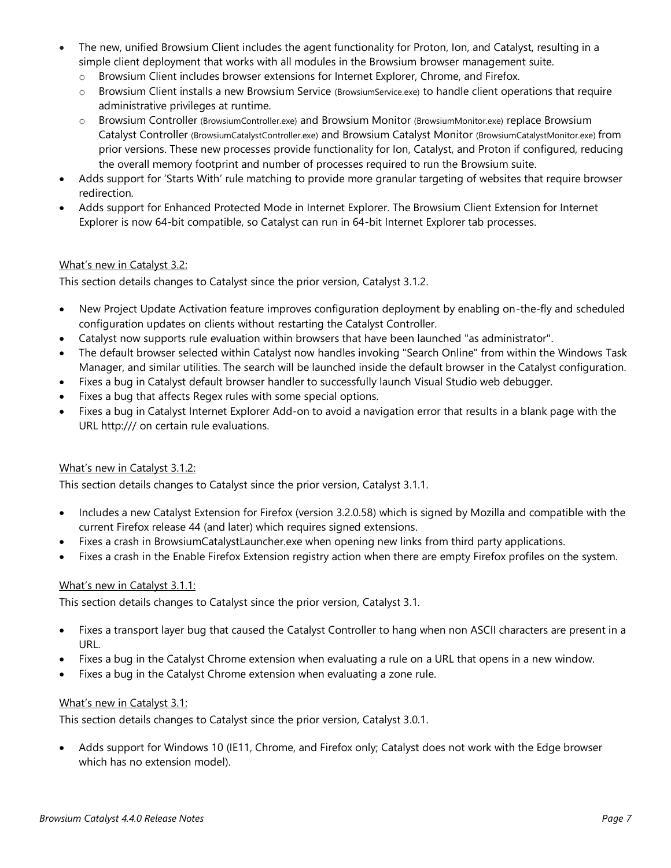- The new, unified Browsium Client includes the agent functionality for Proton, Ion, and Catalyst, resulting in a simple client deployment that works with all modules in the Browsium browser management suite.
	- o Browsium Client includes browser extensions for Internet Explorer, Chrome, and Firefox.
	- o Browsium Client installs a new Browsium Service (BrowsiumService.exe) to handle client operations that require administrative privileges at runtime.
	- o Browsium Controller (BrowsiumController.exe) and Browsium Monitor (BrowsiumMonitor.exe) replace Browsium Catalyst Controller (BrowsiumCatalystController.exe) and Browsium Catalyst Monitor (BrowsiumCatalystMonitor.exe) from prior versions. These new processes provide functionality for Ion, Catalyst, and Proton if configured, reducing the overall memory footprint and number of processes required to run the Browsium suite.
- Adds support for 'Starts With' rule matching to provide more granular targeting of websites that require browser redirection.
- Adds support for Enhanced Protected Mode in Internet Explorer. The Browsium Client Extension for Internet Explorer is now 64-bit compatible, so Catalyst can run in 64-bit Internet Explorer tab processes.

#### What's new in Catalyst 3.2:

This section details changes to Catalyst since the prior version, Catalyst 3.1.2.

- New Project Update Activation feature improves configuration deployment by enabling on-the-fly and scheduled configuration updates on clients without restarting the Catalyst Controller.
- Catalyst now supports rule evaluation within browsers that have been launched "as administrator".
- The default browser selected within Catalyst now handles invoking "Search Online" from within the Windows Task Manager, and similar utilities. The search will be launched inside the default browser in the Catalyst configuration.
- Fixes a bug in Catalyst default browser handler to successfully launch Visual Studio web debugger.
- Fixes a bug that affects Regex rules with some special options.
- Fixes a bug in Catalyst Internet Explorer Add-on to avoid a navigation error that results in a blank page with the URL http:/// on certain rule evaluations.

#### What's new in Catalyst 3.1.2:

This section details changes to Catalyst since the prior version, Catalyst 3.1.1.

- Includes a new Catalyst Extension for Firefox (version 3.2.0.58) which is signed by Mozilla and compatible with the current Firefox release 44 (and later) which requires signed extensions.
- Fixes a crash in BrowsiumCatalystLauncher.exe when opening new links from third party applications.
- Fixes a crash in the Enable Firefox Extension registry action when there are empty Firefox profiles on the system.

#### What's new in Catalyst 3.1.1:

This section details changes to Catalyst since the prior version, Catalyst 3.1.

- Fixes a transport layer bug that caused the Catalyst Controller to hang when non ASCII characters are present in a URL.
- Fixes a bug in the Catalyst Chrome extension when evaluating a rule on a URL that opens in a new window.
- Fixes a bug in the Catalyst Chrome extension when evaluating a zone rule.

#### What's new in Catalyst 3.1:

This section details changes to Catalyst since the prior version, Catalyst 3.0.1.

Adds support for Windows 10 (IE11, Chrome, and Firefox only; Catalyst does not work with the Edge browser which has no extension model).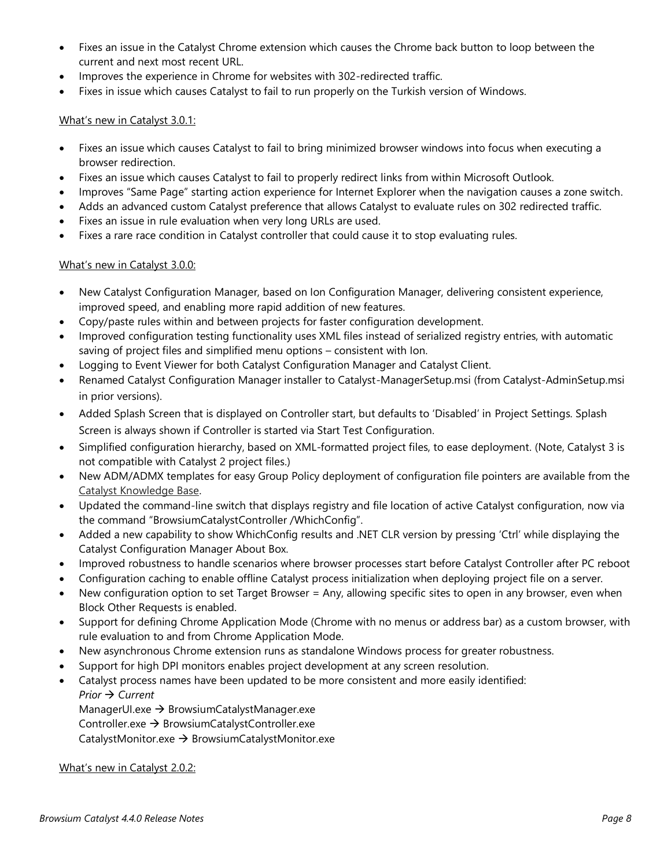- Fixes an issue in the Catalyst Chrome extension which causes the Chrome back button to loop between the current and next most recent URL.
- Improves the experience in Chrome for websites with 302-redirected traffic.
- Fixes in issue which causes Catalyst to fail to run properly on the Turkish version of Windows.

#### What's new in Catalyst 3.0.1:

- Fixes an issue which causes Catalyst to fail to bring minimized browser windows into focus when executing a browser redirection.
- Fixes an issue which causes Catalyst to fail to properly redirect links from within Microsoft Outlook.
- Improves "Same Page" starting action experience for Internet Explorer when the navigation causes a zone switch.
- Adds an advanced custom Catalyst preference that allows Catalyst to evaluate rules on 302 redirected traffic.
- Fixes an issue in rule evaluation when very long URLs are used.
- Fixes a rare race condition in Catalyst controller that could cause it to stop evaluating rules.

#### What's new in Catalyst 3.0.0:

- New Catalyst Configuration Manager, based on Ion Configuration Manager, delivering consistent experience, improved speed, and enabling more rapid addition of new features.
- Copy/paste rules within and between projects for faster configuration development.
- Improved configuration testing functionality uses XML files instead of serialized registry entries, with automatic saving of project files and simplified menu options – consistent with Ion.
- Logging to Event Viewer for both Catalyst Configuration Manager and Catalyst Client.
- Renamed Catalyst Configuration Manager installer to Catalyst-ManagerSetup.msi (from Catalyst-AdminSetup.msi in prior versions).
- Added Splash Screen that is displayed on Controller start, but defaults to 'Disabled' in Project Settings. Splash Screen is always shown if Controller is started via Start Test Configuration.
- Simplified configuration hierarchy, based on XML-formatted project files, to ease deployment. (Note, Catalyst 3 is not compatible with Catalyst 2 project files.)
- New ADM/ADMX templates for easy Group Policy deployment of configuration file pointers are available from the [Catalyst Knowledge Base.](http://www.browsium.com/faqs/browsium-adm-admx-templates-ion-catalysthttp:/www.browsium.com/faqs/browsium-adm-admx-templates-ion-catalyst)
- Updated the command-line switch that displays registry and file location of active Catalyst configuration, now via the command "BrowsiumCatalystController /WhichConfig".
- Added a new capability to show WhichConfig results and .NET CLR version by pressing 'Ctrl' while displaying the Catalyst Configuration Manager About Box.
- Improved robustness to handle scenarios where browser processes start before Catalyst Controller after PC reboot
- Configuration caching to enable offline Catalyst process initialization when deploying project file on a server.
- New configuration option to set Target Browser = Any, allowing specific sites to open in any browser, even when Block Other Requests is enabled.
- Support for defining Chrome Application Mode (Chrome with no menus or address bar) as a custom browser, with rule evaluation to and from Chrome Application Mode.
- New asynchronous Chrome extension runs as standalone Windows process for greater robustness.
- Support for high DPI monitors enables project development at any screen resolution.
- Catalyst process names have been updated to be more consistent and more easily identified:

*Prior → Current* 

ManagerUI.exe → BrowsiumCatalystManager.exe

Controller.exe  $\rightarrow$  BrowsiumCatalystController.exe

CatalystMonitor.exe  $\rightarrow$  BrowsiumCatalystMonitor.exe

What's new in Catalyst 2.0.2: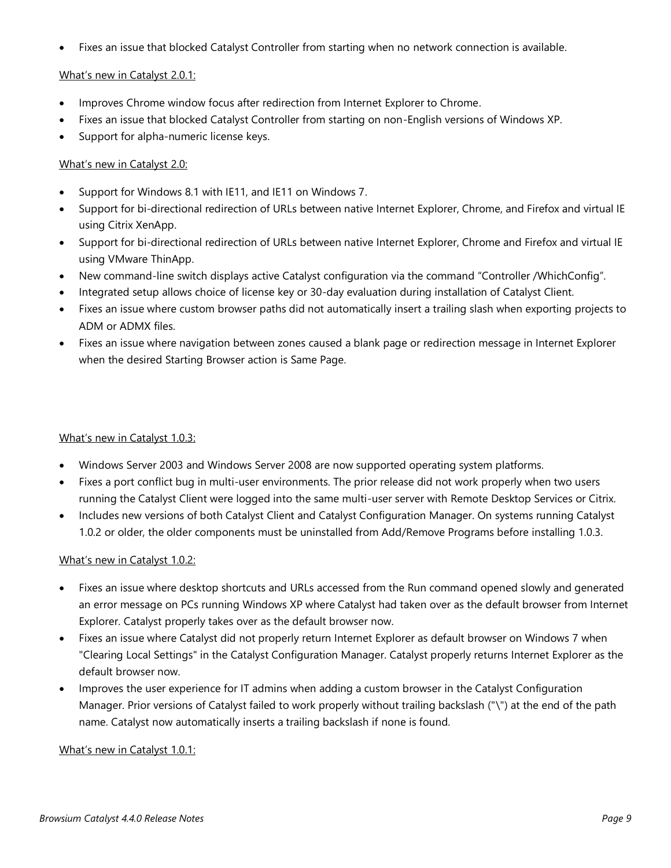• Fixes an issue that blocked Catalyst Controller from starting when no network connection is available.

#### What's new in Catalyst 2.0.1:

- Improves Chrome window focus after redirection from Internet Explorer to Chrome.
- Fixes an issue that blocked Catalyst Controller from starting on non-English versions of Windows XP.
- Support for alpha-numeric license keys.

#### What's new in Catalyst 2.0:

- Support for Windows 8.1 with IE11, and IE11 on Windows 7.
- Support for bi-directional redirection of URLs between native Internet Explorer, Chrome, and Firefox and virtual IE using Citrix XenApp.
- Support for bi-directional redirection of URLs between native Internet Explorer, Chrome and Firefox and virtual IE using VMware ThinApp.
- New command-line switch displays active Catalyst configuration via the command "Controller /WhichConfig".
- Integrated setup allows choice of license key or 30-day evaluation during installation of Catalyst Client.
- Fixes an issue where custom browser paths did not automatically insert a trailing slash when exporting projects to ADM or ADMX files.
- Fixes an issue where navigation between zones caused a blank page or redirection message in Internet Explorer when the desired Starting Browser action is Same Page.

#### What's new in Catalyst 1.0.3:

- Windows Server 2003 and Windows Server 2008 are now supported operating system platforms.
- Fixes a port conflict bug in multi-user environments. The prior release did not work properly when two users running the Catalyst Client were logged into the same multi-user server with Remote Desktop Services or Citrix.
- Includes new versions of both Catalyst Client and Catalyst Configuration Manager. On systems running Catalyst 1.0.2 or older, the older components must be uninstalled from Add/Remove Programs before installing 1.0.3.

#### What's new in Catalyst 1.0.2:

- Fixes an issue where desktop shortcuts and URLs accessed from the Run command opened slowly and generated an error message on PCs running Windows XP where Catalyst had taken over as the default browser from Internet Explorer. Catalyst properly takes over as the default browser now.
- Fixes an issue where Catalyst did not properly return Internet Explorer as default browser on Windows 7 when "Clearing Local Settings" in the Catalyst Configuration Manager. Catalyst properly returns Internet Explorer as the default browser now.
- Improves the user experience for IT admins when adding a custom browser in the Catalyst Configuration Manager. Prior versions of Catalyst failed to work properly without trailing backslash ("\") at the end of the path name. Catalyst now automatically inserts a trailing backslash if none is found.

#### What's new in Catalyst 1.0.1: